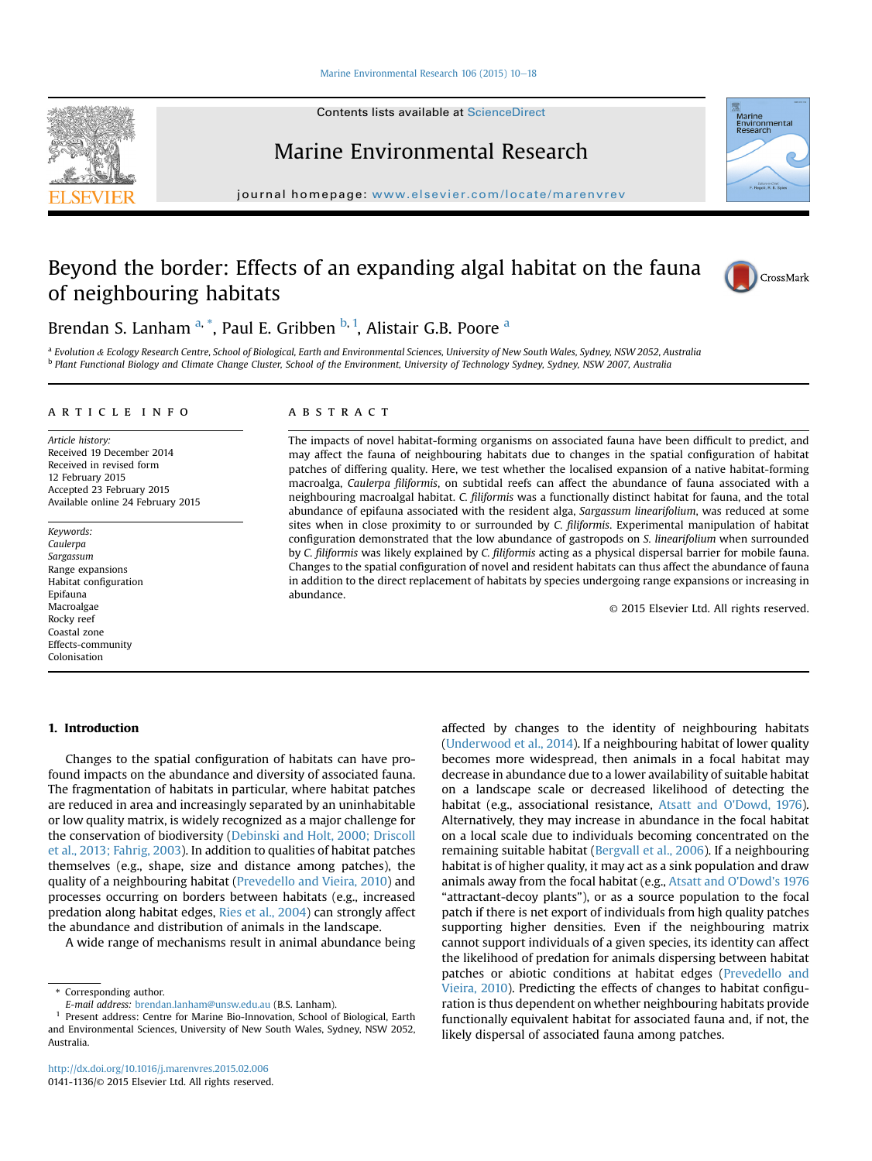#### [Marine Environmental Research 106 \(2015\) 10](http://dx.doi.org/10.1016/j.marenvres.2015.02.006)-[18](http://dx.doi.org/10.1016/j.marenvres.2015.02.006)

Contents lists available at ScienceDirect

# Marine Environmental Research

journal homepage: [www.elsevier.com/locate/marenvrev](http://www.elsevier.com/locate/marenvrev)

# Beyond the border: Effects of an expanding algal habitat on the fauna of neighbouring habitats



a Evolution & Ecology Research Centre, School of Biological, Earth and Environmental Sciences, University of New South Wales, Sydney, NSW 2052, Australia <sup>b</sup> Plant Functional Biology and Climate Change Cluster, School of the Environment, University of Technology Sydney, Sydney, NSW 2007, Australia

#### article info

Article history: Received 19 December 2014 Received in revised form 12 February 2015 Accepted 23 February 2015 Available online 24 February 2015

Keywords: Caulerpa Sargassum Range expansions Habitat configuration Epifauna Macroalgae Rocky reef Coastal zone Effects-community Colonisation

## ABSTRACT

The impacts of novel habitat-forming organisms on associated fauna have been difficult to predict, and may affect the fauna of neighbouring habitats due to changes in the spatial configuration of habitat patches of differing quality. Here, we test whether the localised expansion of a native habitat-forming macroalga, Caulerpa filiformis, on subtidal reefs can affect the abundance of fauna associated with a neighbouring macroalgal habitat. C. filiformis was a functionally distinct habitat for fauna, and the total abundance of epifauna associated with the resident alga, Sargassum linearifolium, was reduced at some sites when in close proximity to or surrounded by C. filiformis. Experimental manipulation of habitat configuration demonstrated that the low abundance of gastropods on S. linearifolium when surrounded by C. filiformis was likely explained by C. filiformis acting as a physical dispersal barrier for mobile fauna. Changes to the spatial configuration of novel and resident habitats can thus affect the abundance of fauna in addition to the direct replacement of habitats by species undergoing range expansions or increasing in abundance.

© 2015 Elsevier Ltd. All rights reserved.

# 1. Introduction

Changes to the spatial configuration of habitats can have profound impacts on the abundance and diversity of associated fauna. The fragmentation of habitats in particular, where habitat patches are reduced in area and increasingly separated by an uninhabitable or low quality matrix, is widely recognized as a major challenge for the conservation of biodiversity [\(Debinski and Holt, 2000; Driscoll](#page--1-0) [et al., 2013; Fahrig, 2003\)](#page--1-0). In addition to qualities of habitat patches themselves (e.g., shape, size and distance among patches), the quality of a neighbouring habitat ([Prevedello and Vieira, 2010\)](#page--1-0) and processes occurring on borders between habitats (e.g., increased predation along habitat edges, [Ries et al., 2004](#page--1-0)) can strongly affect the abundance and distribution of animals in the landscape.

A wide range of mechanisms result in animal abundance being

affected by changes to the identity of neighbouring habitats ([Underwood et al., 2014\)](#page--1-0). If a neighbouring habitat of lower quality becomes more widespread, then animals in a focal habitat may decrease in abundance due to a lower availability of suitable habitat on a landscape scale or decreased likelihood of detecting the habitat (e.g., associational resistance, [Atsatt and O'Dowd, 1976\)](#page--1-0). Alternatively, they may increase in abundance in the focal habitat on a local scale due to individuals becoming concentrated on the remaining suitable habitat ([Bergvall et al., 2006\)](#page--1-0). If a neighbouring habitat is of higher quality, it may act as a sink population and draw animals away from the focal habitat (e.g., [Atsatt and O'Dowd's 1976](#page--1-0) "attractant-decoy plants"), or as a source population to the focal patch if there is net export of individuals from high quality patches supporting higher densities. Even if the neighbouring matrix cannot support individuals of a given species, its identity can affect the likelihood of predation for animals dispersing between habitat patches or abiotic conditions at habitat edges [\(Prevedello and](#page--1-0) [Vieira, 2010\)](#page--1-0). Predicting the effects of changes to habitat configuration is thus dependent on whether neighbouring habitats provide functionally equivalent habitat for associated fauna and, if not, the likely dispersal of associated fauna among patches.







<sup>\*</sup> Corresponding author.

E-mail address: [brendan.lanham@unsw.edu.au](mailto:brendan.lanham@unsw.edu.au) (B.S. Lanham).

<sup>1</sup> Present address: Centre for Marine Bio-Innovation, School of Biological, Earth and Environmental Sciences, University of New South Wales, Sydney, NSW 2052, Australia.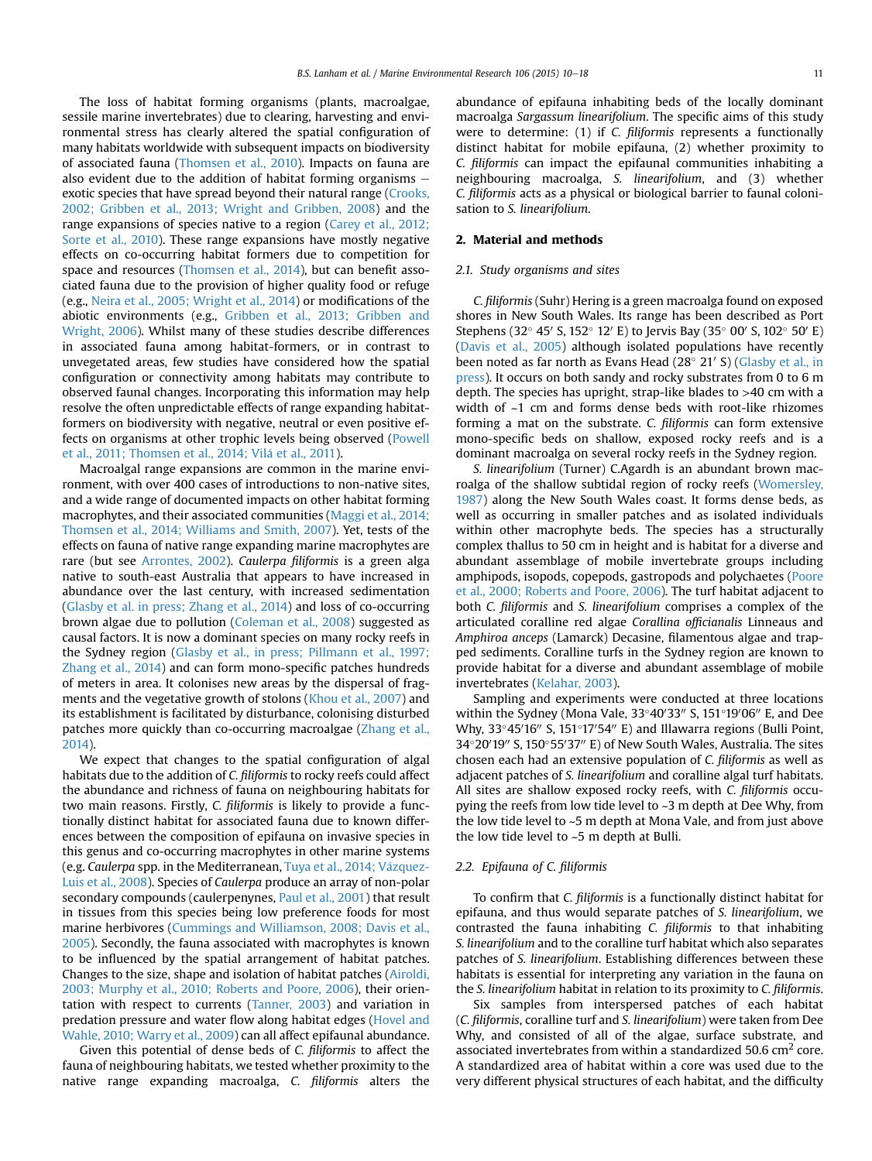The loss of habitat forming organisms (plants, macroalgae, sessile marine invertebrates) due to clearing, harvesting and environmental stress has clearly altered the spatial configuration of many habitats worldwide with subsequent impacts on biodiversity of associated fauna ([Thomsen et al., 2010](#page--1-0)). Impacts on fauna are also evident due to the addition of habitat forming organisms  $$ exotic species that have spread beyond their natural range ([Crooks,](#page--1-0) [2002; Gribben et al., 2013; Wright and Gribben, 2008](#page--1-0)) and the range expansions of species native to a region [\(Carey et al., 2012;](#page--1-0) [Sorte et al., 2010\)](#page--1-0). These range expansions have mostly negative effects on co-occurring habitat formers due to competition for space and resources [\(Thomsen et al., 2014](#page--1-0)), but can benefit associated fauna due to the provision of higher quality food or refuge (e.g., [Neira et al., 2005; Wright et al., 2014\)](#page--1-0) or modifications of the abiotic environments (e.g., [Gribben et al., 2013; Gribben and](#page--1-0) [Wright, 2006\)](#page--1-0). Whilst many of these studies describe differences in associated fauna among habitat-formers, or in contrast to unvegetated areas, few studies have considered how the spatial configuration or connectivity among habitats may contribute to observed faunal changes. Incorporating this information may help resolve the often unpredictable effects of range expanding habitatformers on biodiversity with negative, neutral or even positive effects on organisms at other trophic levels being observed [\(Powell](#page--1-0) [et al., 2011; Thomsen et al., 2014; Vil](#page--1-0) [a et al., 2011](#page--1-0)).

Macroalgal range expansions are common in the marine environment, with over 400 cases of introductions to non-native sites, and a wide range of documented impacts on other habitat forming macrophytes, and their associated communities ([Maggi et al., 2014;](#page--1-0) [Thomsen et al., 2014; Williams and Smith, 2007\)](#page--1-0). Yet, tests of the effects on fauna of native range expanding marine macrophytes are rare (but see [Arrontes, 2002](#page--1-0)). Caulerpa filiformis is a green alga native to south-east Australia that appears to have increased in abundance over the last century, with increased sedimentation ([Glasby et al. in press; Zhang et al., 2014](#page--1-0)) and loss of co-occurring brown algae due to pollution ([Coleman et al., 2008](#page--1-0)) suggested as causal factors. It is now a dominant species on many rocky reefs in the Sydney region [\(Glasby et al., in press; Pillmann et al., 1997;](#page--1-0) [Zhang et al., 2014](#page--1-0)) and can form mono-specific patches hundreds of meters in area. It colonises new areas by the dispersal of fragments and the vegetative growth of stolons ([Khou et al., 2007](#page--1-0)) and its establishment is facilitated by disturbance, colonising disturbed patches more quickly than co-occurring macroalgae ([Zhang et al.,](#page--1-0) [2014\)](#page--1-0).

We expect that changes to the spatial configuration of algal habitats due to the addition of C. filiformis to rocky reefs could affect the abundance and richness of fauna on neighbouring habitats for two main reasons. Firstly, C. filiformis is likely to provide a functionally distinct habitat for associated fauna due to known differences between the composition of epifauna on invasive species in this genus and co-occurring macrophytes in other marine systems (e.g. Caulerpa spp. in the Mediterranean, Tuya et al., 2014; Vázquez-[Luis et al., 2008\)](#page--1-0). Species of Caulerpa produce an array of non-polar secondary compounds (caulerpenynes, [Paul et al., 2001\)](#page--1-0) that result in tissues from this species being low preference foods for most marine herbivores ([Cummings and Williamson, 2008; Davis et al.,](#page--1-0) [2005\)](#page--1-0). Secondly, the fauna associated with macrophytes is known to be influenced by the spatial arrangement of habitat patches. Changes to the size, shape and isolation of habitat patches [\(Airoldi,](#page--1-0) [2003; Murphy et al., 2010; Roberts and Poore, 2006\)](#page--1-0), their orientation with respect to currents [\(Tanner, 2003\)](#page--1-0) and variation in predation pressure and water flow along habitat edges [\(Hovel and](#page--1-0) [Wahle, 2010; Warry et al., 2009\)](#page--1-0) can all affect epifaunal abundance.

Given this potential of dense beds of C. filiformis to affect the fauna of neighbouring habitats, we tested whether proximity to the native range expanding macroalga, C. filiformis alters the abundance of epifauna inhabiting beds of the locally dominant macroalga Sargassum linearifolium. The specific aims of this study were to determine: (1) if C. filiformis represents a functionally distinct habitat for mobile epifauna, (2) whether proximity to C. filiformis can impact the epifaunal communities inhabiting a neighbouring macroalga, S. linearifolium, and (3) whether C. filiformis acts as a physical or biological barrier to faunal colonisation to S. linearifolium.

## 2. Material and methods

#### 2.1. Study organisms and sites

C. filiformis (Suhr) Hering is a green macroalga found on exposed shores in New South Wales. Its range has been described as Port Stephens (32 $^{\circ}$  45' S, 152 $^{\circ}$  12' E) to Jervis Bay (35 $^{\circ}$  00' S, 102 $^{\circ}$  50' E) ([Davis et al., 2005\)](#page--1-0) although isolated populations have recently been noted as far north as Evans Head (28° 21' S) ([Glasby et al., in](#page--1-0) [press](#page--1-0)). It occurs on both sandy and rocky substrates from 0 to 6 m depth. The species has upright, strap-like blades to >40 cm with a width of ~1 cm and forms dense beds with root-like rhizomes forming a mat on the substrate. C. filiformis can form extensive mono-specific beds on shallow, exposed rocky reefs and is a dominant macroalga on several rocky reefs in the Sydney region.

S. linearifolium (Turner) C.Agardh is an abundant brown macroalga of the shallow subtidal region of rocky reefs [\(Womersley,](#page--1-0) [1987\)](#page--1-0) along the New South Wales coast. It forms dense beds, as well as occurring in smaller patches and as isolated individuals within other macrophyte beds. The species has a structurally complex thallus to 50 cm in height and is habitat for a diverse and abundant assemblage of mobile invertebrate groups including amphipods, isopods, copepods, gastropods and polychaetes [\(Poore](#page--1-0) [et al., 2000; Roberts and Poore, 2006\)](#page--1-0). The turf habitat adjacent to both C. filiformis and S. linearifolium comprises a complex of the articulated coralline red algae Corallina officianalis Linneaus and Amphiroa anceps (Lamarck) Decasine, filamentous algae and trapped sediments. Coralline turfs in the Sydney region are known to provide habitat for a diverse and abundant assemblage of mobile invertebrates ([Kelahar, 2003\)](#page--1-0).

Sampling and experiments were conducted at three locations within the Sydney (Mona Vale,  $33^{\circ}40'33''$  S,  $151^{\circ}19'06''$  E, and Dee Why, 33 $^{\circ}$ 45'16" S, 151 $^{\circ}$ 17'54" E) and Illawarra regions (Bulli Point, 34°20′19″ S, 150°55′37″ E) of New South Wales, Australia. The sites chosen each had an extensive population of C. filiformis as well as adjacent patches of S. linearifolium and coralline algal turf habitats. All sites are shallow exposed rocky reefs, with C. filiformis occupying the reefs from low tide level to ~3 m depth at Dee Why, from the low tide level to ~5 m depth at Mona Vale, and from just above the low tide level to ~5 m depth at Bulli.

#### 2.2. Epifauna of C. filiformis

To confirm that C. filiformis is a functionally distinct habitat for epifauna, and thus would separate patches of S. linearifolium, we contrasted the fauna inhabiting C. filiformis to that inhabiting S. linearifolium and to the coralline turf habitat which also separates patches of S. linearifolium. Establishing differences between these habitats is essential for interpreting any variation in the fauna on the S. linearifolium habitat in relation to its proximity to C. filiformis.

Six samples from interspersed patches of each habitat (C. filiformis, coralline turf and S. linearifolium) were taken from Dee Why, and consisted of all of the algae, surface substrate, and associated invertebrates from within a standardized 50.6  $\text{cm}^2$  core. A standardized area of habitat within a core was used due to the very different physical structures of each habitat, and the difficulty